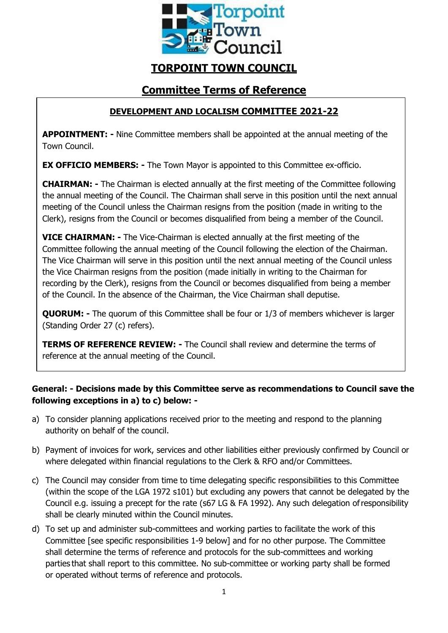

# **TORPOINT TOWN COUNCIL**

## **Committee Terms of Reference**

## **DEVELOPMENT AND LOCALISM COMMITTEE 2021-22**

**APPOINTMENT: -** Nine Committee members shall be appointed at the annual meeting of the Town Council.

**EX OFFICIO MEMBERS: -** The Town Mayor is appointed to this Committee ex-officio.

**CHAIRMAN: -** The Chairman is elected annually at the first meeting of the Committee following the annual meeting of the Council. The Chairman shall serve in this position until the next annual meeting of the Council unless the Chairman resigns from the position (made in writing to the Clerk), resigns from the Council or becomes disqualified from being a member of the Council.

**VICE CHAIRMAN: -** The Vice-Chairman is elected annually at the first meeting of the Committee following the annual meeting of the Council following the election of the Chairman. The Vice Chairman will serve in this position until the next annual meeting of the Council unless the Vice Chairman resigns from the position (made initially in writing to the Chairman for recording by the Clerk), resigns from the Council or becomes disqualified from being a member of the Council. In the absence of the Chairman, the Vice Chairman shall deputise.

**QUORUM:** - The quorum of this Committee shall be four or 1/3 of members whichever is larger (Standing Order 27 (c) refers).

**TERMS OF REFERENCE REVIEW: -** The Council shall review and determine the terms of reference at the annual meeting of the Council.

### **General: - Decisions made by this Committee serve as recommendations to Council save the following exceptions in a) to c) below: -**

- a) To consider planning applications received prior to the meeting and respond to the planning authority on behalf of the council.
- b) Payment of invoices for work, services and other liabilities either previously confirmed by Council or where delegated within financial regulations to the Clerk & RFO and/or Committees.
- c) The Council may consider from time to time delegating specific responsibilities to this Committee (within the scope of the LGA 1972 s101) but excluding any powers that cannot be delegated by the Council e.g. issuing a precept for the rate (s67 LG & FA 1992). Any such delegation ofresponsibility shall be clearly minuted within the Council minutes.
- d) To set up and administer sub-committees and working parties to facilitate the work of this Committee [see specific responsibilities 1-9 below] and for no other purpose. The Committee shall determine the terms of reference and protocols for the sub-committees and working parties that shall report to this committee. No sub-committee or working party shall be formed or operated without terms of reference and protocols.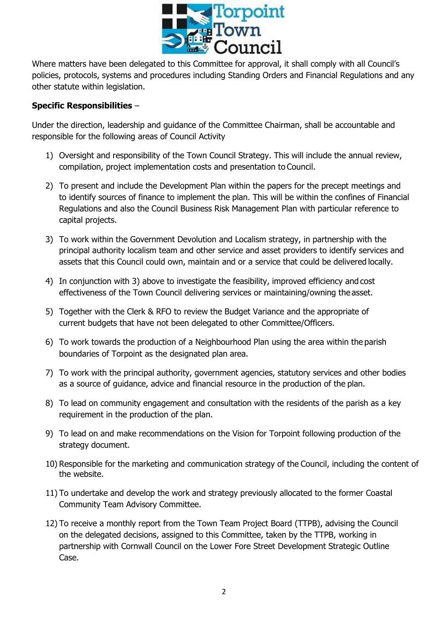

Where matters have been delegated to this Committee for approval, it shall comply with all Council's policies, protocols, systems and procedures including Standing Orders and Financial Regulations and any other statute within legislation.

#### **Specific Responsibilities** –

Under the direction, leadership and guidance of the Committee Chairman, shall be accountable and responsible for the following areas of Council Activity

- 1) Oversight and responsibility of the Town Council Strategy. This will include the annual review, compilation, project implementation costs and presentation to Council.
- 2) To present and include the Development Plan within the papers for the precept meetings and to identify sources of finance to implement the plan. This will be within the confines of Financial Regulations and also the Council Business Risk Management Plan with particular reference to capital projects.
- 3) To work within the Government Devolution and Localism strategy, in partnership with the principal authority localism team and other service and asset providers to identify services and assets that this Council could own, maintain and or a service that could be delivered locally.
- 4) In conjunction with 3) above to investigate the feasibility, improved efficiency and cost effectiveness of the Town Council delivering services or maintaining/owning the asset.
- 5) Together with the Clerk & RFO to review the Budget Variance and the appropriate of current budgets that have not been delegated to other Committee/Officers.
- 6) To work towards the production of a Neighbourhood Plan using the area within the parish boundaries of Torpoint as the designated plan area.
- 7) To work with the principal authority, government agencies, statutory services and other bodies as a source of guidance, advice and financial resource in the production of the plan.
- 8) To lead on community engagement and consultation with the residents of the parish as a key requirement in the production of the plan.
- 9) To lead on and make recommendations on the Vision for Torpoint following production of the strategy document.
- 10) Responsible for the marketing and communication strategy of the Council, including the content of the website.
- 11) To undertake and develop the work and strategy previously allocated to the former Coastal Community Team Advisory Committee.
- 12) To receive a monthly report from the Town Team Project Board (TTPB), advising the Council on the delegated decisions, assigned to this Committee, taken by the TTPB, working in partnership with Cornwall Council on the Lower Fore Street Development Strategic Outline Case.